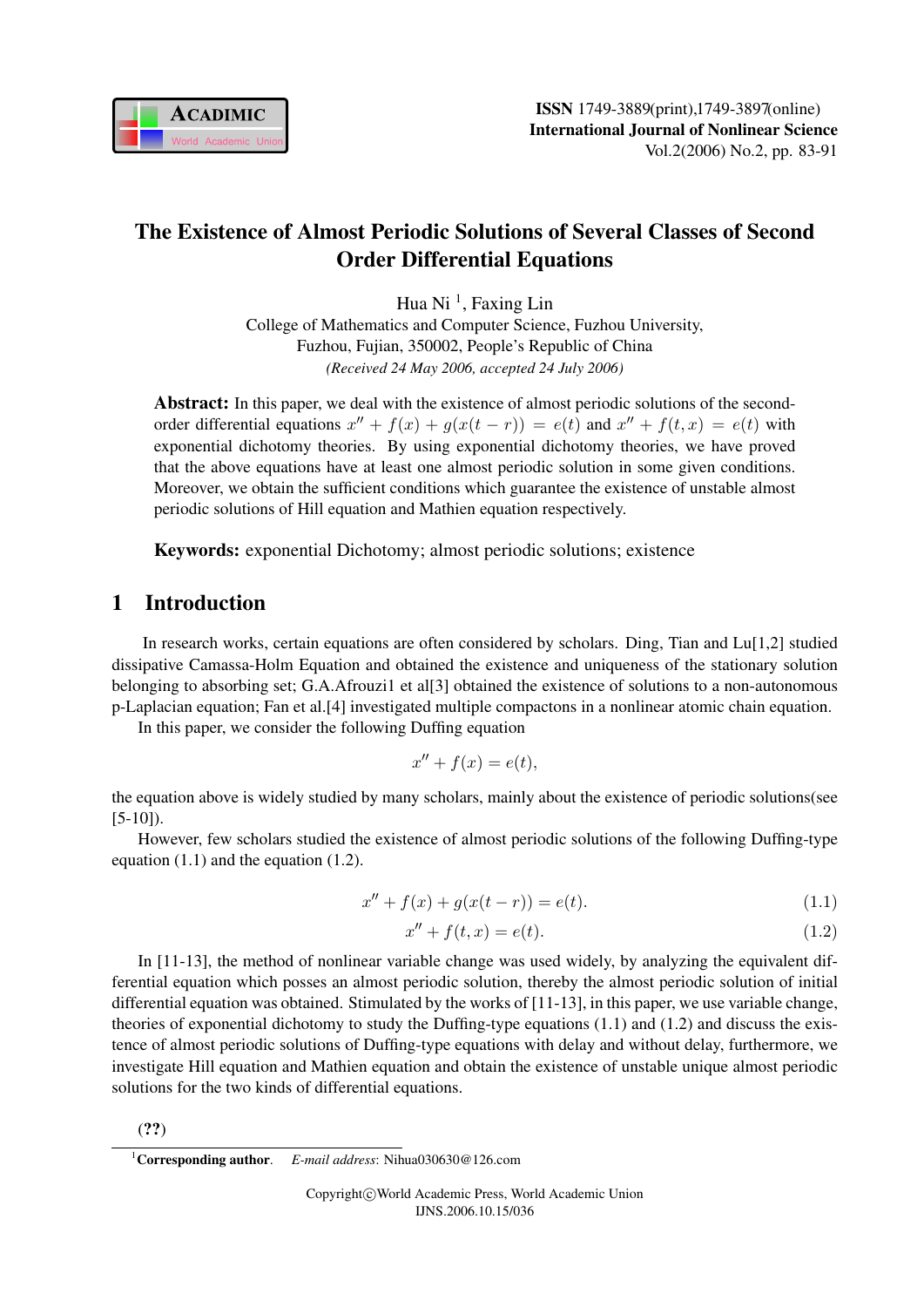

# The Existence of Almost Periodic Solutions of Several Classes of Second Order Differential Equations

Hua Ni<sup>1</sup>, Faxing Lin College of Mathematics and Computer Science, Fuzhou University, Fuzhou, Fujian, 350002, People's Republic of China *(Received 24 May 2006, accepted 24 July 2006)*

Abstract: In this paper, we deal with the existence of almost periodic solutions of the secondorder differential equations  $x'' + f(x) + g(x(t - r)) = e(t)$  and  $x'' + f(t, x) = e(t)$  with exponential dichotomy theories. By using exponential dichotomy theories, we have proved that the above equations have at least one almost periodic solution in some given conditions. Moreover, we obtain the sufficient conditions which guarantee the existence of unstable almost periodic solutions of Hill equation and Mathien equation respectively.

Keywords: exponential Dichotomy; almost periodic solutions; existence

## 1 Introduction

In research works, certain equations are often considered by scholars. Ding, Tian and Lu[1,2] studied dissipative Camassa-Holm Equation and obtained the existence and uniqueness of the stationary solution belonging to absorbing set; G.A.Afrouzi1 et al[3] obtained the existence of solutions to a non-autonomous p-Laplacian equation; Fan et al.[4] investigated multiple compactons in a nonlinear atomic chain equation.

In this paper, we consider the following Duffing equation

$$
x'' + f(x) = e(t),
$$

the equation above is widely studied by many scholars, mainly about the existence of periodic solutions(see  $[5-10]$ ).

However, few scholars studied the existence of almost periodic solutions of the following Duffing-type equation (1.1) and the equation (1.2).

$$
x'' + f(x) + g(x(t - r)) = e(t).
$$
\n(1.1)

$$
x'' + f(t, x) = e(t).
$$
 (1.2)

In [11-13], the method of nonlinear variable change was used widely, by analyzing the equivalent differential equation which posses an almost periodic solution, thereby the almost periodic solution of initial differential equation was obtained. Stimulated by the works of [11-13], in this paper, we use variable change, theories of exponential dichotomy to study the Duffing-type equations  $(1.1)$  and  $(1.2)$  and discuss the existence of almost periodic solutions of Duffing-type equations with delay and without delay, furthermore, we investigate Hill equation and Mathien equation and obtain the existence of unstable unique almost periodic solutions for the two kinds of differential equations.

(??)

<sup>1</sup>Corresponding author. *E-mail address*: Nihua030630@126.com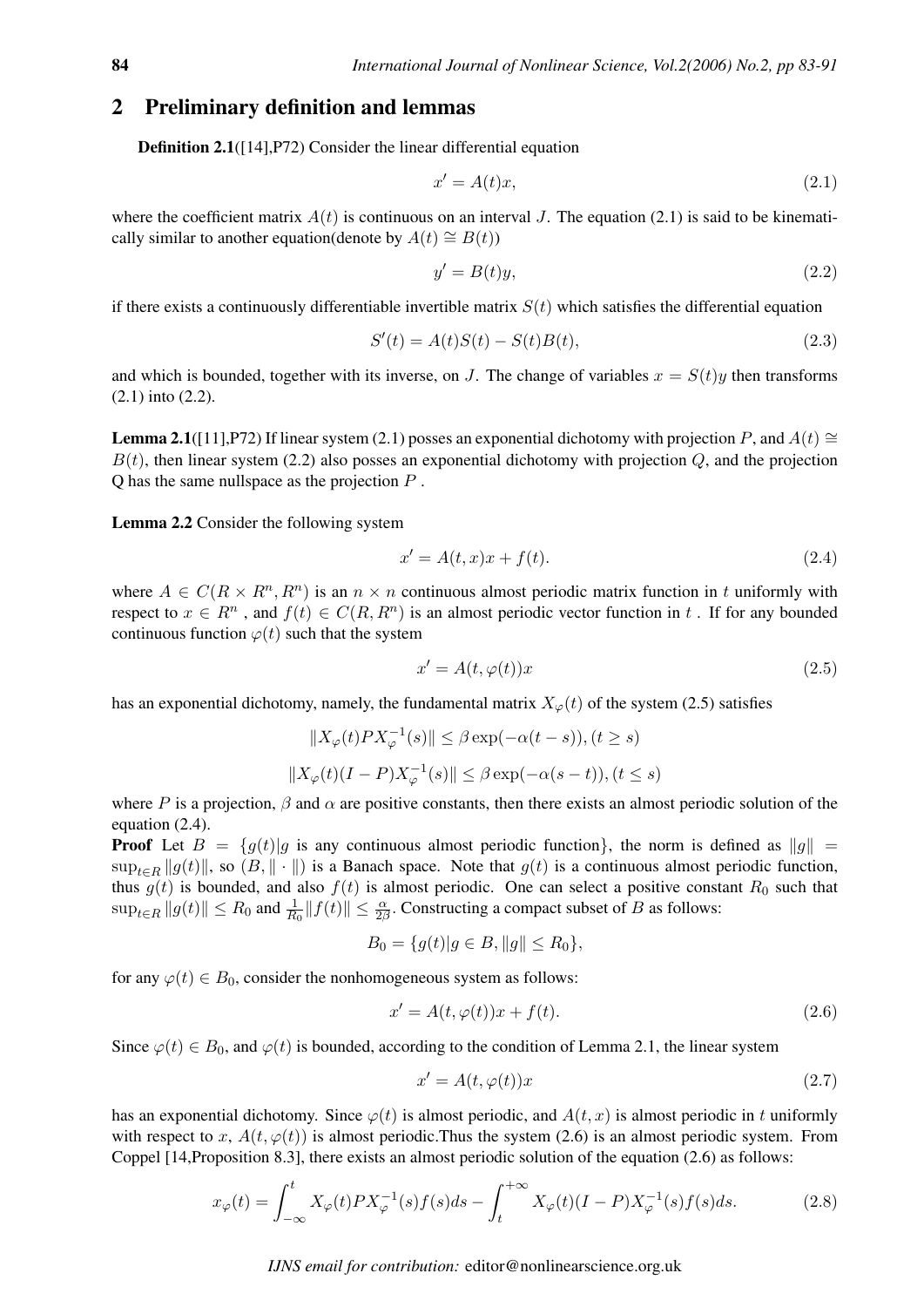#### 2 Preliminary definition and lemmas

Definition 2.1([14],P72) Consider the linear differential equation

$$
x' = A(t)x,\tag{2.1}
$$

where the coefficient matrix  $A(t)$  is continuous on an interval J. The equation (2.1) is said to be kinematically similar to another equation(denote by  $A(t) \cong B(t)$ )

$$
y' = B(t)y,\tag{2.2}
$$

if there exists a continuously differentiable invertible matrix  $S(t)$  which satisfies the differential equation

$$
S'(t) = A(t)S(t) - S(t)B(t),
$$
\n(2.3)

and which is bounded, together with its inverse, on J. The change of variables  $x = S(t)y$  then transforms (2.1) into (2.2).

**Lemma 2.1**([11],P72) If linear system (2.1) posses an exponential dichotomy with projection P, and  $A(t)$  ≅  $B(t)$ , then linear system (2.2) also posses an exponential dichotomy with projection  $Q$ , and the projection  $Q$  has the same nullspace as the projection  $P$ .

Lemma 2.2 Consider the following system

$$
x' = A(t, x)x + f(t).
$$
 (2.4)

where  $A \in C(R \times R^n, R^n)$  is an  $n \times n$  continuous almost periodic matrix function in t uniformly with respect to  $x \in R^n$ , and  $f(t) \in C(R, R^n)$  is an almost periodic vector function in t. If for any bounded continuous function  $\varphi(t)$  such that the system

$$
x' = A(t, \varphi(t))x\tag{2.5}
$$

has an exponential dichotomy, namely, the fundamental matrix  $X_{\varphi}(t)$  of the system (2.5) satisfies

$$
||X_{\varphi}(t)PX_{\varphi}^{-1}(s)|| \leq \beta \exp(-\alpha(t-s)), (t \geq s)
$$
  

$$
||X_{\varphi}(t)(I - P)X_{\varphi}^{-1}(s)|| \leq \beta \exp(-\alpha(s-t)), (t \leq s)
$$

where P is a projection,  $\beta$  and  $\alpha$  are positive constants, then there exists an almost periodic solution of the equation (2.4).

**Proof** Let  $B = \{g(t) | g$  is any continuous almost periodic function}, the norm is defined as  $||g|| =$  $\sup_{t\in\mathbb{R}}||g(t)||$ , so  $(B, \|\cdot\|)$  is a Banach space. Note that  $g(t)$  is a continuous almost periodic function, thus  $g(t)$  is bounded, and also  $f(t)$  is almost periodic. One can select a positive constant  $R_0$  such that  $\sup_{t\in R}||g(t)|| \leq R_0$  and  $\frac{1}{R_0}||f(t)|| \leq \frac{\alpha}{2\beta}$ . Constructing a compact subset of B as follows:

$$
B_0 = \{g(t)|g \in B, ||g|| \le R_0\},\
$$

for any  $\varphi(t) \in B_0$ , consider the nonhomogeneous system as follows:

$$
x' = A(t, \varphi(t))x + f(t). \tag{2.6}
$$

Since  $\varphi(t) \in B_0$ , and  $\varphi(t)$  is bounded, according to the condition of Lemma 2.1, the linear system

$$
x' = A(t, \varphi(t))x\tag{2.7}
$$

has an exponential dichotomy. Since  $\varphi(t)$  is almost periodic, and  $A(t, x)$  is almost periodic in t uniformly with respect to x,  $A(t, \varphi(t))$  is almost periodic. Thus the system (2.6) is an almost periodic system. From Coppel [14,Proposition 8.3], there exists an almost periodic solution of the equation (2.6) as follows:

$$
x_{\varphi}(t) = \int_{-\infty}^{t} X_{\varphi}(t) P X_{\varphi}^{-1}(s) f(s) ds - \int_{t}^{+\infty} X_{\varphi}(t) (I - P) X_{\varphi}^{-1}(s) f(s) ds.
$$
 (2.8)

*IJNS email for contribution:* editor@nonlinearscience.org.uk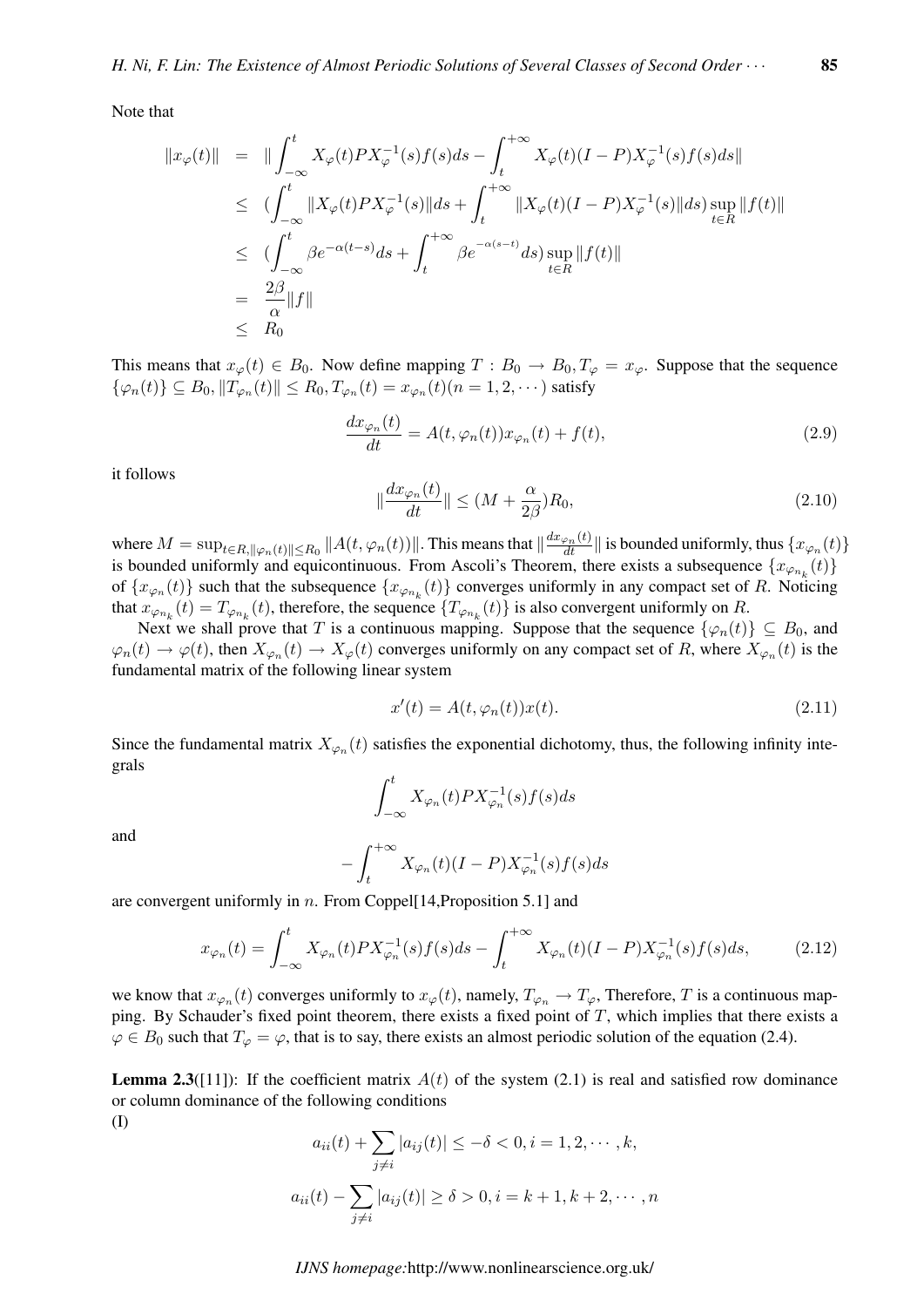Note that

$$
\begin{array}{rcl}\n\|x_{\varphi}(t)\| & = & \|\int_{-\infty}^{t} X_{\varphi}(t)PX_{\varphi}^{-1}(s)f(s)ds - \int_{t}^{+\infty} X_{\varphi}(t)(I-P)X_{\varphi}^{-1}(s)f(s)ds\| \\
& \leq & (\int_{-\infty}^{t} \|X_{\varphi}(t)PX_{\varphi}^{-1}(s)\|ds + \int_{t}^{+\infty} \|X_{\varphi}(t)(I-P)X_{\varphi}^{-1}(s)\|ds) \sup_{t \in R} \|f(t)\| \\
& \leq & (\int_{-\infty}^{t} \beta e^{-\alpha(t-s)}ds + \int_{t}^{+\infty} \beta e^{-\alpha(s-t)}ds) \sup_{t \in R} \|f(t)\| \\
& = & \frac{2\beta}{\alpha} \|f\| \\
& \leq & R_0\n\end{array}
$$

This means that  $x_{\varphi}(t) \in B_0$ . Now define mapping  $T : B_0 \to B_0, T_{\varphi} = x_{\varphi}$ . Suppose that the sequence  $\{\varphi_n(t)\}\subseteq B_0, \|T_{\varphi_n}(t)\| \le R_0, T_{\varphi_n}(t) = x_{\varphi_n}(t)$  $(n = 1, 2, \cdots)$  satisfy

$$
\frac{dx_{\varphi_n}(t)}{dt} = A(t, \varphi_n(t))x_{\varphi_n}(t) + f(t),
$$
\n(2.9)

it follows

$$
\|\frac{dx_{\varphi_n}(t)}{dt}\| \le (M + \frac{\alpha}{2\beta})R_0,\tag{2.10}
$$

where  $M = \sup_{t \in R, ||\varphi_n(t)|| \le R_0} ||A(t, \varphi_n(t))||$ . This means that  $\left|| \frac{dx_{\varphi_n}(t)}{dt} \right||$  is bounded uniformly, thus  $\{x_{\varphi_n}(t)\}$ is bounded uniformly and equicontinuous. From Ascoli's Theorem, there exists a subsequence  $\{x_{\varphi_{n_k}}(t)\}$ of  $\{x_{\varphi_n}(t)\}\$  such that the subsequence  $\{x_{\varphi_{n_k}}(t)\}\$  converges uniformly in any compact set of R. Noticing that  $x_{\varphi_{n_k}}(t) = T_{\varphi_{n_k}}(t)$ , therefore, the sequence  $\{T_{\varphi_{n_k}}(t)\}\$  is also convergent uniformly on R.

Next we shall prove that T is a continuous mapping. Suppose that the sequence  $\{\varphi_n(t)\} \subseteq B_0$ , and  $\varphi_n(t) \to \varphi(t)$ , then  $X_{\varphi_n}(t) \to X_{\varphi}(t)$  converges uniformly on any compact set of R, where  $X_{\varphi_n}(t)$  is the fundamental matrix of the following linear system

$$
x'(t) = A(t, \varphi_n(t))x(t).
$$
\n(2.11)

Since the fundamental matrix  $X_{\varphi_n}(t)$  satisfies the exponential dichotomy, thus, the following infinity integrals  $rt$ 

$$
\int_{-\infty}^t X_{\varphi_n}(t) P X_{\varphi_n}^{-1}(s) f(s) ds
$$

and

$$
-\int_{t}^{+\infty} X_{\varphi_n}(t)(I-P)X_{\varphi_n}^{-1}(s)f(s)ds
$$

are convergent uniformly in  $n$ . From Coppel[14,Proposition 5.1] and

$$
x_{\varphi_n}(t) = \int_{-\infty}^t X_{\varphi_n}(t) P X_{\varphi_n}^{-1}(s) f(s) ds - \int_t^{+\infty} X_{\varphi_n}(t) (I - P) X_{\varphi_n}^{-1}(s) f(s) ds, \tag{2.12}
$$

we know that  $x_{\varphi_n}(t)$  converges uniformly to  $x_{\varphi}(t)$ , namely,  $T_{\varphi_n} \to T_{\varphi}$ , Therefore, T is a continuous mapping. By Schauder's fixed point theorem, there exists a fixed point of  $T$ , which implies that there exists a  $\varphi \in B_0$  such that  $T_{\varphi} = \varphi$ , that is to say, there exists an almost periodic solution of the equation (2.4).

**Lemma 2.3**([11]): If the coefficient matrix  $A(t)$  of the system (2.1) is real and satisfied row dominance or column dominance of the following conditions (I)

$$
a_{ii}(t) + \sum_{j \neq i} |a_{ij}(t)| \leq -\delta < 0, i = 1, 2, \cdots, k,
$$
\n
$$
a_{ii}(t) - \sum_{j \neq i} |a_{ij}(t)| \geq \delta > 0, i = k + 1, k + 2, \cdots, n
$$

*IJNS homepage:*http://www.nonlinearscience.org.uk/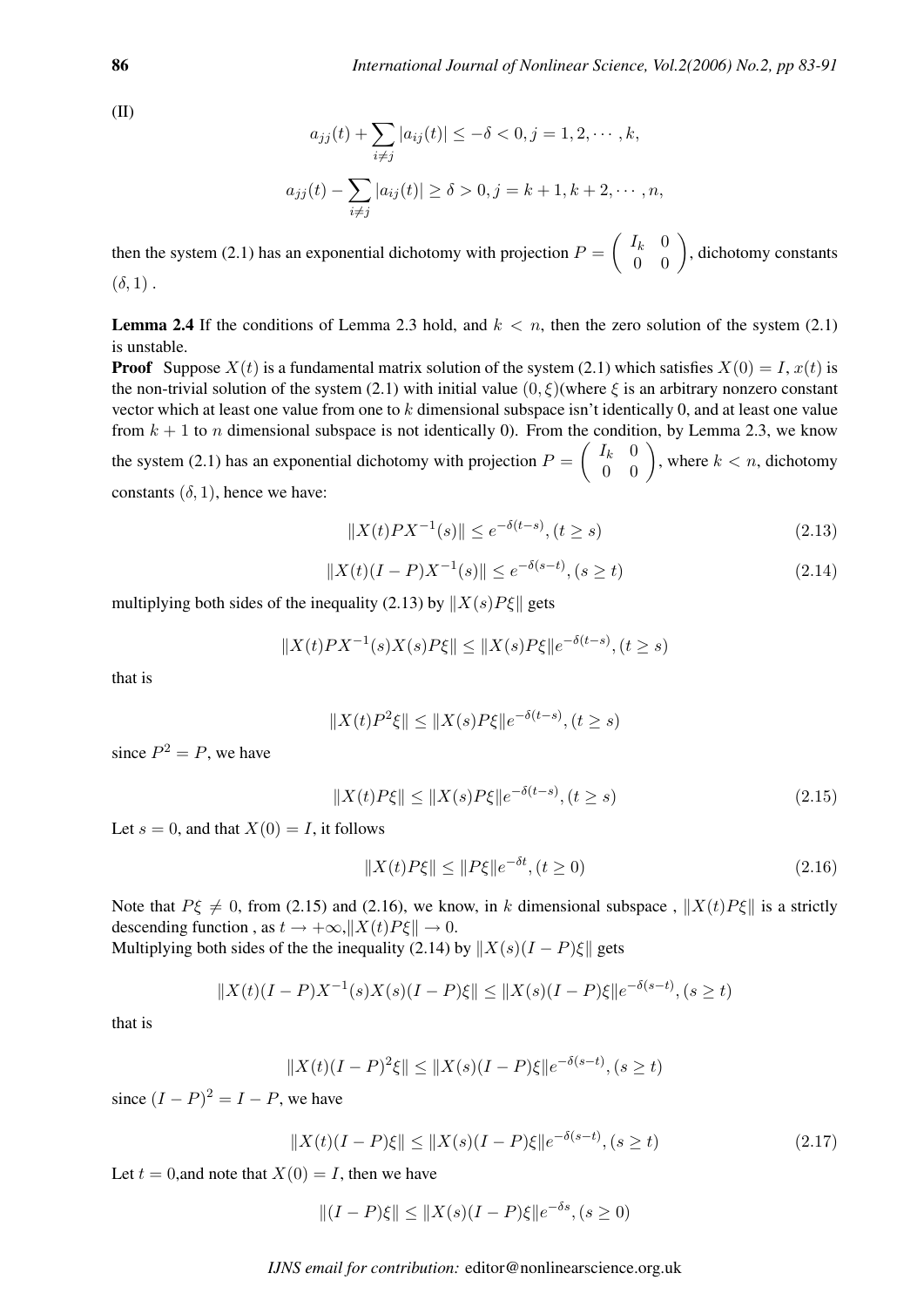(II)

$$
a_{jj}(t) + \sum_{i \neq j} |a_{ij}(t)| \le -\delta < 0, j = 1, 2, \dots, k,
$$
  

$$
a_{jj}(t) - \sum_{i \neq j} |a_{ij}(t)| \ge \delta > 0, j = k + 1, k + 2, \dots, n,
$$

then the system (2.1) has an exponential dichotomy with projection  $P =$  $I_k$  0  $\begin{pmatrix} I_k & 0 \\ 0 & 0 \end{pmatrix}$ , dichotomy constants  $(\delta, 1)$ .

**Lemma 2.4** If the conditions of Lemma 2.3 hold, and  $k < n$ , then the zero solution of the system (2.1) is unstable.

**Proof** Suppose  $X(t)$  is a fundamental matrix solution of the system (2.1) which satisfies  $X(0) = I$ ,  $x(t)$  is the non-trivial solution of the system (2.1) with initial value  $(0, \xi)$ (where  $\xi$  is an arbitrary nonzero constant vector which at least one value from one to k dimensional subspace isn't identically 0, and at least one value from  $k + 1$  to *n* dimensional subspace is not identically 0). From the condition, by Lemma 2.3, we know the system (2.1) has an exponential dichotomy with projection  $P = \begin{pmatrix} I_k & 0 \\ 0 & 0 \end{pmatrix}$ ondition, by Lemma 2.5, we know<br> $\begin{pmatrix} I_k & 0 \\ 0 & 0 \end{pmatrix}$ , where  $k < n$ , dichotomy constants  $(\delta, 1)$ , hence we have:

$$
||X(t)PX^{-1}(s)|| \le e^{-\delta(t-s)}, (t \ge s)
$$
\n(2.13)

$$
||X(t)(I - P)X^{-1}(s)|| \le e^{-\delta(s-t)}, (s \ge t)
$$
\n(2.14)

multiplying both sides of the inequality (2.13) by  $||X(s)P\xi||$  gets

 $||X(t)PX^{-1}(s)X(s)P\xi|| \le ||X(s)P\xi||e^{-\delta(t-s)}, (t \ge s)$ 

that is

$$
||X(t)P^{2}\xi|| \leq ||X(s)P\xi||e^{-\delta(t-s)}, (t \geq s)
$$

since  $P^2 = P$ , we have

$$
||X(t)P\xi|| \le ||X(s)P\xi||e^{-\delta(t-s)}, (t \ge s)
$$
\n(2.15)

Let  $s = 0$ , and that  $X(0) = I$ , it follows

$$
||X(t)P\xi|| \le ||P\xi||e^{-\delta t}, (t \ge 0)
$$
\n(2.16)

Note that  $P\xi \neq 0$ , from (2.15) and (2.16), we know, in k dimensional subspace,  $||X(t)P\xi||$  is a strictly descending function , as  $t \to +\infty$ ,  $||X(t)P\xi|| \to 0$ .

Multiplying both sides of the the inequality (2.14) by  $||X(s)(I - P)\xi||$  gets

$$
||X(t)(I - P)X^{-1}(s)X(s)(I - P)\xi|| \le ||X(s)(I - P)\xi||e^{-\delta(s-t)}, (s \ge t)
$$

that is

$$
||X(t)(I - P)^{2}\xi|| \le ||X(s)(I - P)\xi||e^{-\delta(s-t)}, (s \ge t)
$$

since  $(I - P)^2 = I - P$ , we have

$$
||X(t)(I - P)\xi|| \le ||X(s)(I - P)\xi||e^{-\delta(s - t)}, (s \ge t)
$$
\n(2.17)

Let  $t = 0$ , and note that  $X(0) = I$ , then we have

$$
||(I - P)\xi|| \le ||X(s)(I - P)\xi||e^{-\delta s}, (s \ge 0)
$$

*IJNS email for contribution:* editor@nonlinearscience.org.uk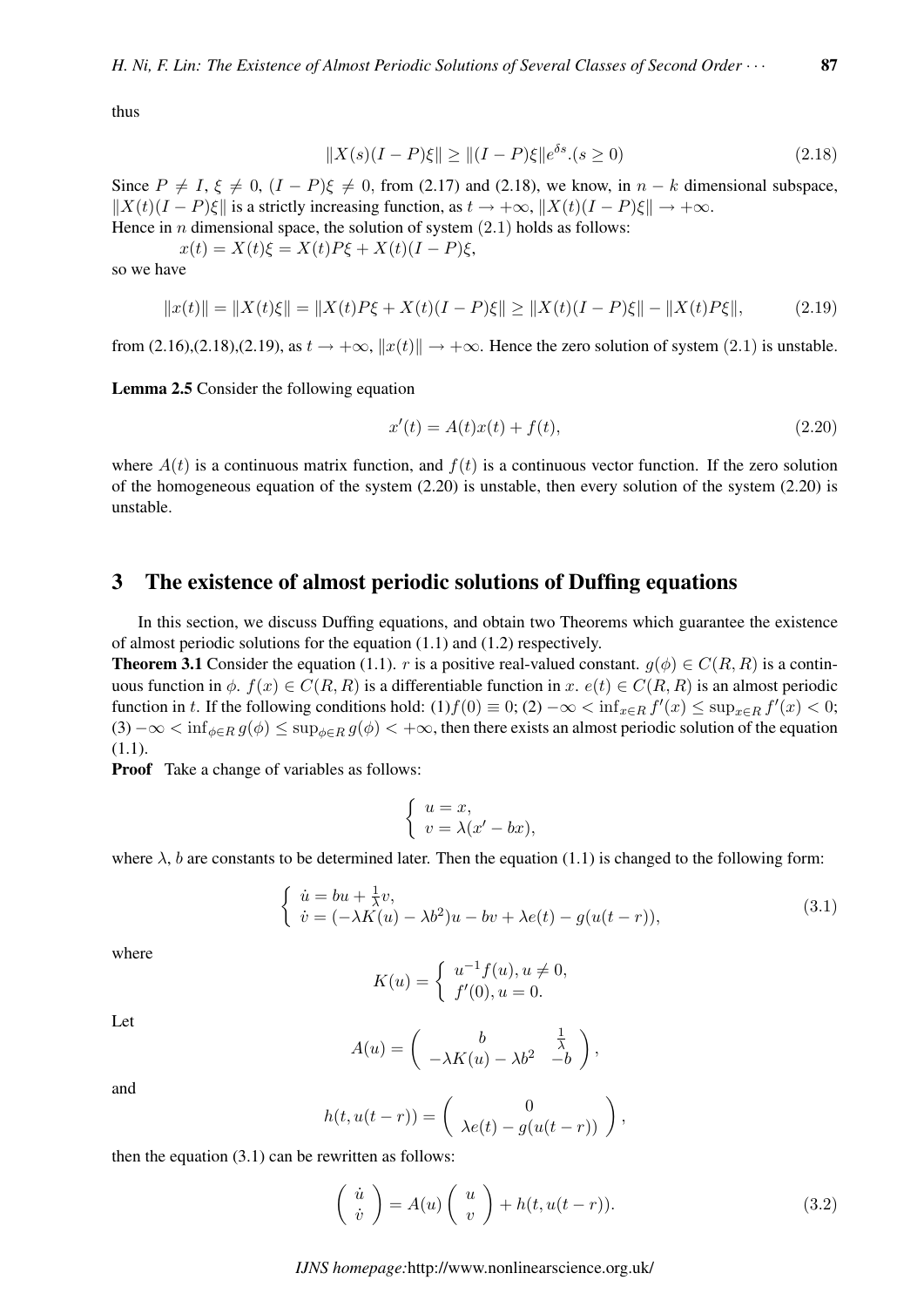thus

$$
||X(s)(I - P)\xi|| \ge ||(I - P)\xi||e^{\delta s} (s \ge 0)
$$
\n(2.18)

Since  $P \neq I$ ,  $\xi \neq 0$ ,  $(I - P)\xi \neq 0$ , from (2.17) and (2.18), we know, in  $n - k$  dimensional subspace,  $||X(t)(I - P)\xi||$  is a strictly increasing function, as  $t \to +\infty$ ,  $||X(t)(I - P)\xi|| \to +\infty$ .

Hence in *n* dimensional space, the solution of system  $(2.1)$  holds as follows:

 $x(t) = X(t)\xi = X(t)P\xi + X(t)(I - P)\xi,$ 

so we have

$$
||x(t)|| = ||X(t)\xi|| = ||X(t)P\xi + X(t)(I - P)\xi|| \ge ||X(t)(I - P)\xi|| - ||X(t)P\xi||,
$$
\n(2.19)

from (2.16),(2.18),(2.19), as  $t \to +\infty$ ,  $||x(t)|| \to +\infty$ . Hence the zero solution of system (2.1) is unstable.

Lemma 2.5 Consider the following equation

$$
x'(t) = A(t)x(t) + f(t),
$$
\n(2.20)

where  $A(t)$  is a continuous matrix function, and  $f(t)$  is a continuous vector function. If the zero solution of the homogeneous equation of the system  $(2.20)$  is unstable, then every solution of the system  $(2.20)$  is unstable.

#### 3 The existence of almost periodic solutions of Duffing equations

In this section, we discuss Duffing equations, and obtain two Theorems which guarantee the existence of almost periodic solutions for the equation (1.1) and (1.2) respectively.

**Theorem 3.1** Consider the equation (1.1). r is a positive real-valued constant.  $g(\phi) \in C(R, R)$  is a continuous function in  $\phi$ .  $f(x) \in C(R, R)$  is a differentiable function in x.  $e(t) \in C(R, R)$  is an almost periodic function in t. If the following conditions hold:  $(1)f(0) \equiv 0$ ;  $(2) - \infty < \inf_{x \in R} f'(x) \le \sup_{x \in R} f'(x) < 0$ ;  $(3) - \infty < \inf_{\phi \in R} g(\phi) \le \sup_{\phi \in R} g(\phi) < +\infty$ , then there exists an almost periodic solution of the equation (1.1).

**Proof** Take a change of variables as follows:

$$
\begin{cases}\n u = x, \\
 v = \lambda(x' - bx),\n\end{cases}
$$

where  $\lambda$ , b are constants to be determined later. Then the equation (1.1) is changed to the following form:

$$
\begin{cases}\n\dot{u} = bu + \frac{1}{\lambda}v, \\
\dot{v} = (-\lambda K(u) - \lambda b^2)u - bv + \lambda e(t) - g(u(t-r)),\n\end{cases}
$$
\n(3.1)

where

$$
K(u) = \begin{cases} u^{-1}f(u), u \neq 0, \\ f'(0), u = 0. \end{cases}
$$

Let

$$
A(u) = \begin{pmatrix} b & \frac{1}{\lambda} \\ -\lambda K(u) - \lambda b^2 & -b \end{pmatrix},
$$

and

$$
h(t, u(t-r)) = \begin{pmatrix} 0 \\ \lambda e(t) - g(u(t-r)) \end{pmatrix},
$$

then the equation  $(3.1)$  can be rewritten as follows:

$$
\begin{pmatrix} \dot{u} \\ \dot{v} \end{pmatrix} = A(u) \begin{pmatrix} u \\ v \end{pmatrix} + h(t, u(t-r)). \tag{3.2}
$$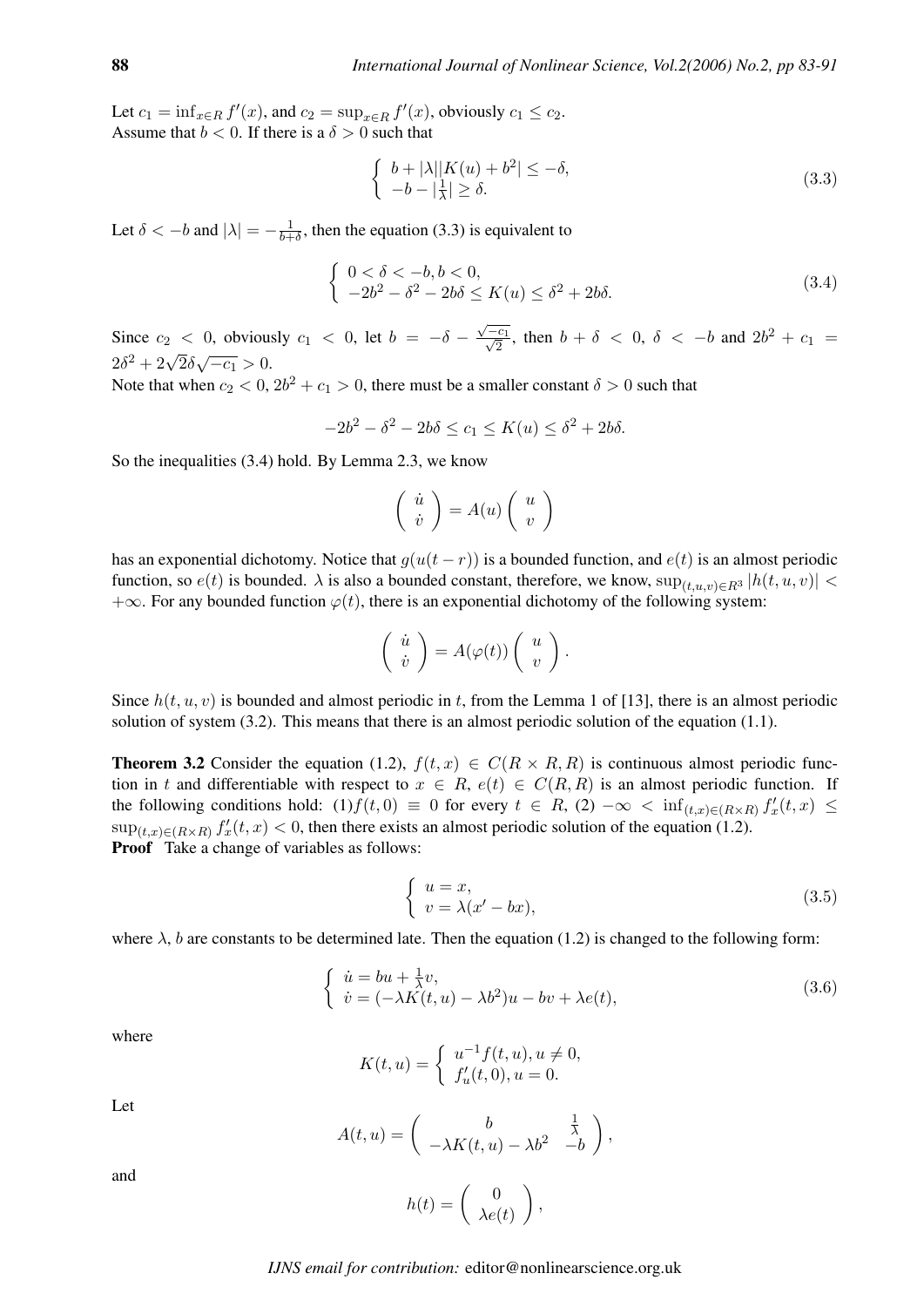Let  $c_1 = \inf_{x \in R} f'(x)$ , and  $c_2 = \sup_{x \in R} f'(x)$ , obviously  $c_1 \le c_2$ . Assume that  $b < 0$ . If there is a  $\delta > 0$  such that

$$
\begin{cases} b + |\lambda||K(u) + b^2| \le -\delta, \\ -b - |\frac{1}{\lambda}| \ge \delta. \end{cases}
$$
\n(3.3)

Let  $\delta < -b$  and  $|\lambda| = -\frac{1}{b+1}$  $\frac{1}{b+\delta}$ , then the equation (3.3) is equivalent to

$$
\begin{cases} 0 < \delta < -b, b < 0, \\ -2b^2 - \delta^2 - 2b\delta \le K(u) \le \delta^2 + 2b\delta. \end{cases}
$$
 (3.4)

Since  $c_2$  < 0, obviously  $c_1$  < 0, let  $b = -\delta$  – √  $\frac{1}{\epsilon}$  $\frac{c_1}{2}$ , then  $b + \delta$  < 0,  $\delta$  < -b and  $2b^2 + c_1$  =  $2\delta^2 + 2\sqrt{2}\delta\sqrt{-c_1} > 0.$ √

Note that when  $c_2 < 0$ ,  $2b^2 + c_1 > 0$ , there must be a smaller constant  $\delta > 0$  such that

$$
-2b^2 - \delta^2 - 2b\delta \le c_1 \le K(u) \le \delta^2 + 2b\delta.
$$

So the inequalities (3.4) hold. By Lemma 2.3, we know

$$
\left(\begin{array}{c}\dot{u}\\ \dot{v}\end{array}\right)=A(u)\left(\begin{array}{c}u\\ v\end{array}\right)
$$

has an exponential dichotomy. Notice that  $g(u(t - r))$  is a bounded function, and  $e(t)$  is an almost periodic function, so  $e(t)$  is bounded.  $\lambda$  is also a bounded constant, therefore, we know,  $\sup_{(t,u,v)\in R^3} |h(t,u,v)|$  < +∞. For any bounded function  $\varphi(t)$ , there is an exponential dichotomy of the following system:

$$
\left(\begin{array}{c}\dot{u}\\ \dot{v}\end{array}\right)=A(\varphi(t))\left(\begin{array}{c}u\\ v\end{array}\right).
$$

Since  $h(t, u, v)$  is bounded and almost periodic in t, from the Lemma 1 of [13], there is an almost periodic solution of system (3.2). This means that there is an almost periodic solution of the equation (1.1).

**Theorem 3.2** Consider the equation (1.2),  $f(t, x) \in C(R \times R, R)$  is continuous almost periodic function in t and differentiable with respect to  $x \in R$ ,  $e(t) \in C(R, R)$  is an almost periodic function. If the following conditions hold: (1)  $f(t, 0) \equiv 0$  for every  $t \in R$ , (2)  $-\infty < \inf_{(t,x)\in(R\times R)} f'_x(t,x) \le$  $\sup_{(t,x)\in(R\times R)} f'_x(t,x) < 0$ , then there exists an almost periodic solution of the equation (1.2). Proof Take a change of variables as follows:

$$
\begin{cases}\n u = x, \\
 v = \lambda(x' - bx),\n\end{cases}
$$
\n(3.5)

where  $\lambda$ , b are constants to be determined late. Then the equation (1.2) is changed to the following form:

$$
\begin{cases}\n\dot{u} = bu + \frac{1}{\lambda}v, \\
\dot{v} = (-\lambda K(t, u) - \lambda b^2)u - bv + \lambda e(t),\n\end{cases}
$$
\n(3.6)

,

where

$$
K(t, u) = \begin{cases} u^{-1}f(t, u), u \neq 0, \\ f'_u(t, 0), u = 0. \end{cases}
$$

Let

$$
A(t, u) = \begin{pmatrix} b & \frac{1}{\lambda} \\ -\lambda K(t, u) - \lambda b^2 & -b \end{pmatrix}
$$

and

$$
h(t) = \begin{pmatrix} 0 \\ \lambda e(t) \end{pmatrix},
$$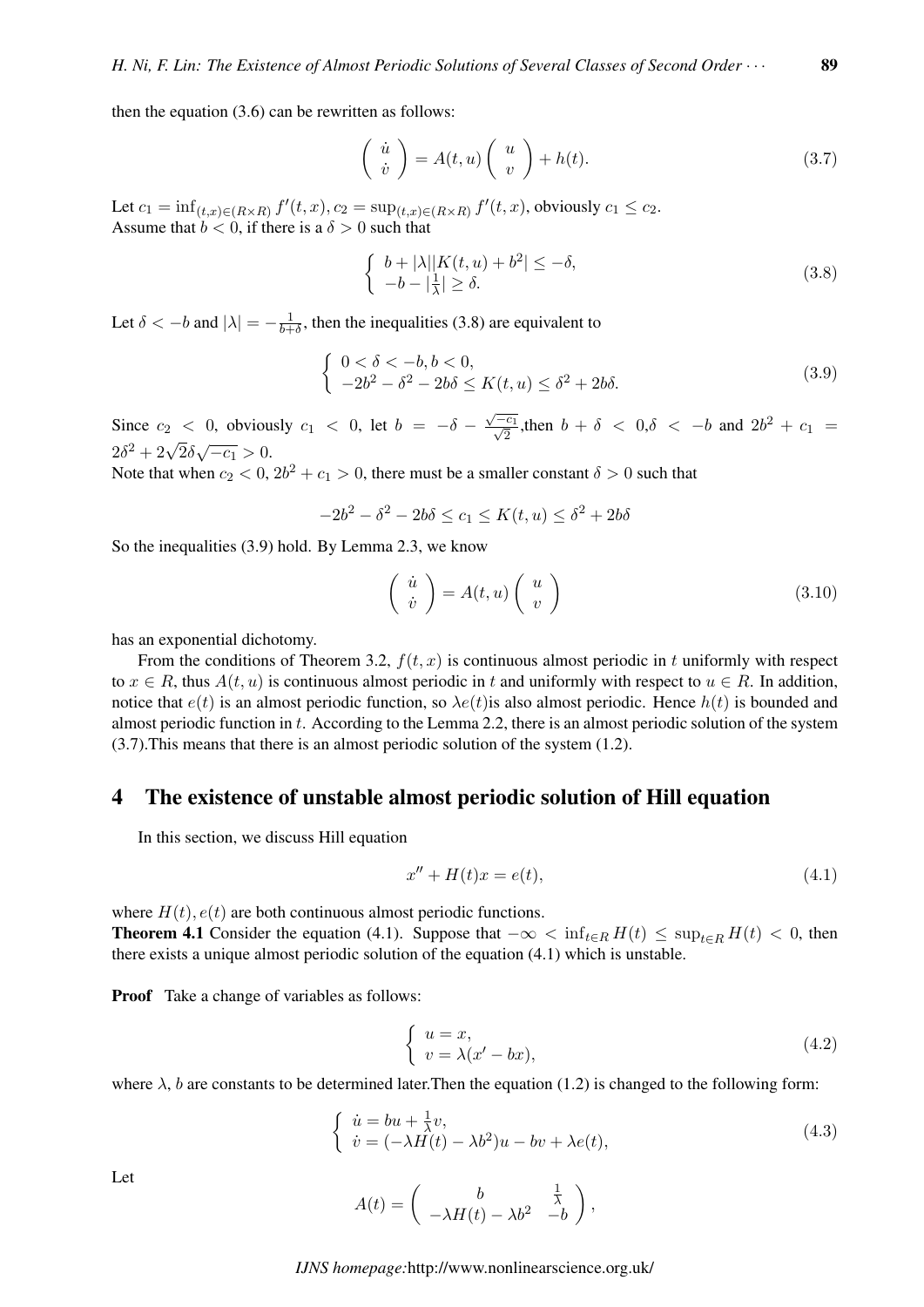then the equation (3.6) can be rewritten as follows:

$$
\begin{pmatrix} \dot{u} \\ \dot{v} \end{pmatrix} = A(t, u) \begin{pmatrix} u \\ v \end{pmatrix} + h(t). \tag{3.7}
$$

Let  $c_1 = \inf_{(t,x) \in (R \times R)} f'(t, x), c_2 = \sup_{(t,x) \in (R \times R)} f'(t, x)$ , obviously  $c_1 \le c_2$ . Assume that  $b < 0$ , if there is a  $\delta > 0$  such that

$$
\begin{cases} b+|\lambda||K(t,u)+b^2| \leq -\delta, \\ -b-|\frac{1}{\lambda}| \geq \delta. \end{cases}
$$
\n(3.8)

Let  $\delta < -b$  and  $|\lambda| = -\frac{1}{b+1}$  $\frac{1}{b+\delta}$ , then the inequalities (3.8) are equivalent to

$$
\begin{cases} 0 < \delta < -b, b < 0, \\ -2b^2 - \delta^2 - 2b\delta \le K(t, u) \le \delta^2 + 2b\delta. \end{cases}
$$
 (3.9)

Since  $c_2$  < 0, obviously  $c_1$  < 0, let  $b = -\delta$  – √  $\frac{1}{\sqrt{c}}$  $\frac{c_1}{2}$ , then  $b + \delta < 0, \delta < -b$  and  $2b^2 + c_1 =$  $2\delta^2 + 2\sqrt{2}\delta\sqrt{-c_1} > 0.$ 

Note that when  $c_2 < 0$ ,  $2b^2 + c_1 > 0$ , there must be a smaller constant  $\delta > 0$  such that

$$
-2b^2 - \delta^2 - 2b\delta \le c_1 \le K(t, u) \le \delta^2 + 2b\delta
$$

So the inequalities (3.9) hold. By Lemma 2.3, we know

$$
\begin{pmatrix} \dot{u} \\ \dot{v} \end{pmatrix} = A(t, u) \begin{pmatrix} u \\ v \end{pmatrix}
$$
 (3.10)

has an exponential dichotomy.

From the conditions of Theorem 3.2,  $f(t, x)$  is continuous almost periodic in t uniformly with respect to  $x \in R$ , thus  $A(t, u)$  is continuous almost periodic in t and uniformly with respect to  $u \in R$ . In addition, notice that  $e(t)$  is an almost periodic function, so  $\lambda e(t)$  is also almost periodic. Hence  $h(t)$  is bounded and almost periodic function in t. According to the Lemma 2.2, there is an almost periodic solution of the system (3.7).This means that there is an almost periodic solution of the system (1.2).

#### 4 The existence of unstable almost periodic solution of Hill equation

In this section, we discuss Hill equation

$$
x'' + H(t)x = e(t),
$$
\n(4.1)

where  $H(t)$ ,  $e(t)$  are both continuous almost periodic functions.

**Theorem 4.1** Consider the equation (4.1). Suppose that  $-\infty < \inf_{t \in R} H(t) \le \sup_{t \in R} H(t) < 0$ , then there exists a unique almost periodic solution of the equation (4.1) which is unstable.

**Proof** Take a change of variables as follows:

$$
\begin{cases}\n u = x, \\
 v = \lambda(x' - bx),\n\end{cases} \tag{4.2}
$$

where  $\lambda$ , b are constants to be determined later. Then the equation (1.2) is changed to the following form:

$$
\begin{cases}\n\dot{u} = bu + \frac{1}{\lambda}v, \\
\dot{v} = (-\lambda H(t) - \lambda b^2)u - bv + \lambda e(t),\n\end{cases} \tag{4.3}
$$

Let

$$
A(t) = \begin{pmatrix} b & \frac{1}{\lambda} \\ -\lambda H(t) - \lambda b^2 & -b \end{pmatrix},
$$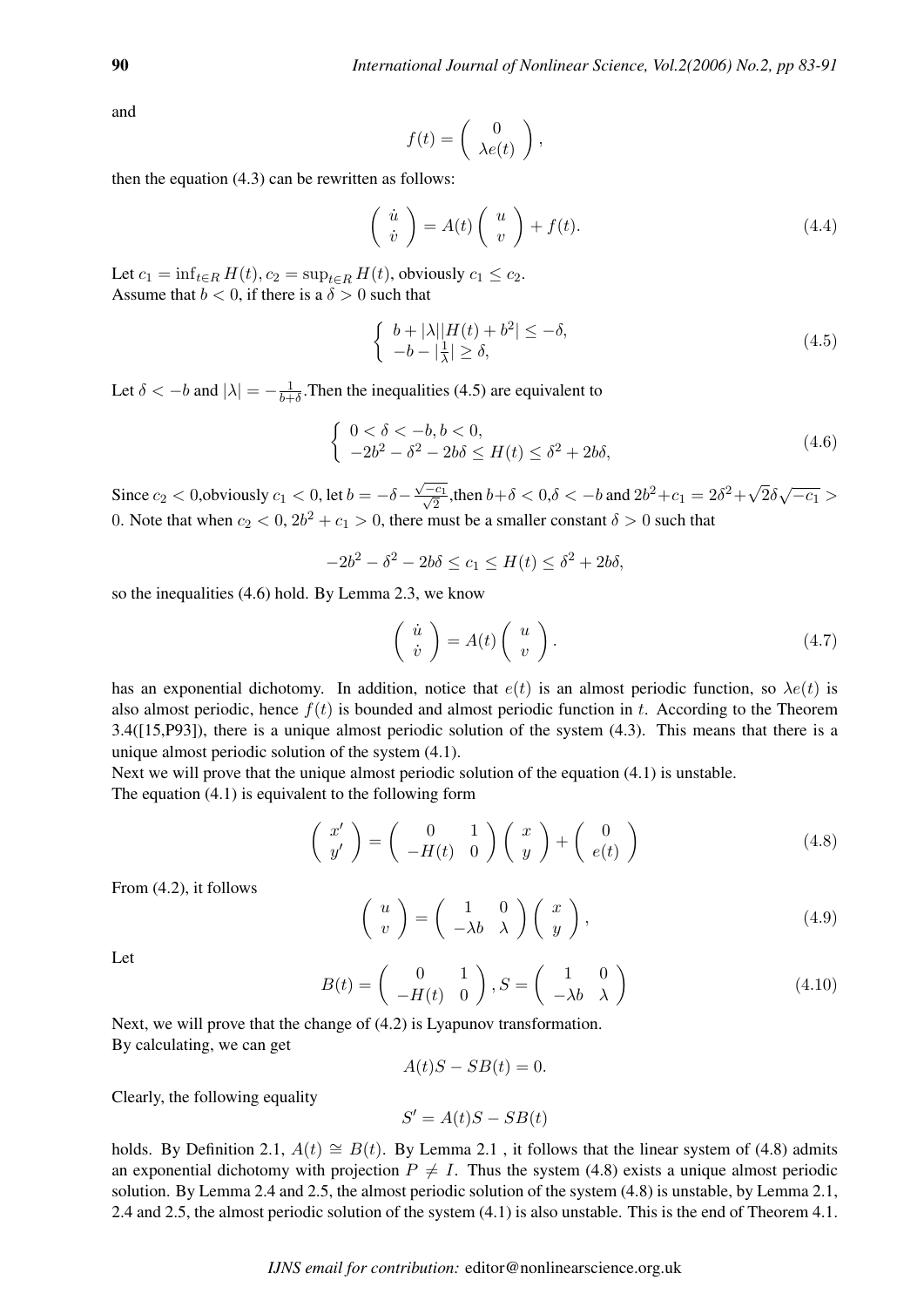and

$$
f(t) = \begin{pmatrix} 0 \\ \lambda e(t) \end{pmatrix},
$$

then the equation (4.3) can be rewritten as follows:

$$
\begin{pmatrix} \dot{u} \\ \dot{v} \end{pmatrix} = A(t) \begin{pmatrix} u \\ v \end{pmatrix} + f(t). \tag{4.4}
$$

Let  $c_1 = \inf_{t \in R} H(t)$ ,  $c_2 = \sup_{t \in R} H(t)$ , obviously  $c_1 \leq c_2$ . Assume that  $b < 0$ , if there is a  $\delta > 0$  such that

$$
\begin{cases} b + |\lambda||H(t) + b^2| \le -\delta, \\ -b - |\frac{1}{\lambda}| \ge \delta, \end{cases}
$$
\n(4.5)

Let  $\delta < -b$  and  $|\lambda| = -\frac{1}{b+1}$  $\frac{1}{b+\delta}$ . Then the inequalities (4.5) are equivalent to

$$
\begin{cases} 0 < \delta < -b, b < 0, \\ -2b^2 - \delta^2 - 2b\delta \le H(t) \le \delta^2 + 2b\delta, \end{cases}
$$
 (4.6)

Since  $c_2 < 0$ , obviously  $c_1 < 0$ , let  $b = -\delta$ √  $\frac{1}{\sqrt{c}}$  $\frac{\overline{c_1}}{2}$ , then  $b+\delta < 0$ ,  $\delta < -b$  and  $2b^2 + c_1 = 2\delta^2 + \sqrt{2b}$  $\sqrt{2}\delta\sqrt{-c_1}$ 0. Note that when  $c_2 < 0$ ,  $2b^2 + c_1 > 0$ , there must be a smaller constant  $\delta > 0$  such that

$$
-2b^2 - \delta^2 - 2b\delta \le c_1 \le H(t) \le \delta^2 + 2b\delta,
$$

so the inequalities (4.6) hold. By Lemma 2.3, we know

$$
\left(\begin{array}{c}\n\dot{u} \\
\dot{v}\n\end{array}\right) = A(t) \left(\begin{array}{c}\nu \\
v\n\end{array}\right). \tag{4.7}
$$

has an exponential dichotomy. In addition, notice that  $e(t)$  is an almost periodic function, so  $\lambda e(t)$  is also almost periodic, hence  $f(t)$  is bounded and almost periodic function in t. According to the Theorem 3.4([15,P93]), there is a unique almost periodic solution of the system (4.3). This means that there is a unique almost periodic solution of the system (4.1).

Next we will prove that the unique almost periodic solution of the equation  $(4.1)$  is unstable. The equation (4.1) is equivalent to the following form

$$
\begin{pmatrix} x' \\ y' \end{pmatrix} = \begin{pmatrix} 0 & 1 \\ -H(t) & 0 \end{pmatrix} \begin{pmatrix} x \\ y \end{pmatrix} + \begin{pmatrix} 0 \\ e(t) \end{pmatrix}
$$
 (4.8)

From (4.2), it follows

$$
\left(\begin{array}{c} u \\ v \end{array}\right) = \left(\begin{array}{cc} 1 & 0 \\ -\lambda b & \lambda \end{array}\right) \left(\begin{array}{c} x \\ y \end{array}\right),\tag{4.9}
$$

Let

$$
B(t) = \begin{pmatrix} 0 & 1 \\ -H(t) & 0 \end{pmatrix}, S = \begin{pmatrix} 1 & 0 \\ -\lambda b & \lambda \end{pmatrix}
$$
 (4.10)

Next, we will prove that the change of (4.2) is Lyapunov transformation. By calculating, we can get

$$
A(t)S - SB(t) = 0.
$$

Clearly, the following equality

$$
S' = A(t)S - SB(t)
$$

holds. By Definition 2.1,  $A(t) \cong B(t)$ . By Lemma 2.1, it follows that the linear system of (4.8) admits an exponential dichotomy with projection  $P \neq I$ . Thus the system (4.8) exists a unique almost periodic solution. By Lemma 2.4 and 2.5, the almost periodic solution of the system (4.8) is unstable, by Lemma 2.1, 2.4 and 2.5, the almost periodic solution of the system (4.1) is also unstable. This is the end of Theorem 4.1.

*IJNS email for contribution:* editor@nonlinearscience.org.uk